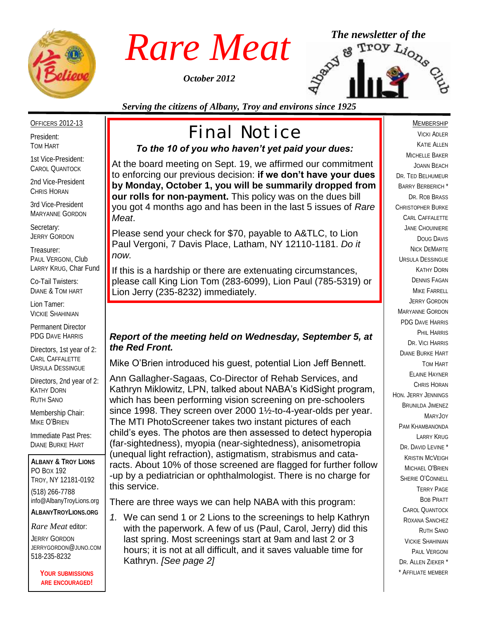

*October 2012*



*Serving the citizens of Albany, Troy and environs since 1925*

#### OFFICERS 2012-13

President: TOM HART

1st Vice-President: CAROL QUANTOCK

2nd Vice-President CHRIS HORAN

3rd Vice-President MARYANNE GORDON

Secretary: JERRY GORDON

Treasurer: PAUL VERGONI, Club LARRY KRUG, Char Fund

Co-Tail Twisters: DIANE & TOM HART

Lion Tamer: VICKIE SHAHINIAN

Permanent Director PDG DAVE HARRIS

Directors, 1st year of 2: CARL CAFFALETTE URSULA DESSINGUE

Directors, 2nd year of 2: KATHY DORN RUTH SANO

Membership Chair: MIKE O'BRIEN

Immediate Past Pres: DIANE BURKE HART

**ALBANY & TROY LIONS** PO BOX 192 TROY, NY 12181-0192 (518) 266-7788 info@AlbanyTroyLions.org **ALBANYTROYLIONS.ORG**

*Rare Meat* editor:

JERRY GORDON JERRYGORDON@JUNO.COM 518-235-8232

> **YOUR SUBMISSIONS ARE ENCOURAGED!**

# Final Notice

### *To the 10 of you who haven't yet paid your dues:*

At the board meeting on Sept. 19, we affirmed our commitment to enforcing our previous decision: **if we don't have your dues by Monday, October 1, you will be summarily dropped from our rolls for non-payment.** This policy was on the dues bill you got 4 months ago and has been in the last 5 issues of *Rare Meat*.

Please send your check for \$70, payable to A&TLC, to Lion Paul Vergoni, 7 Davis Place, Latham, NY 12110-1181. *Do it now.*

If this is a hardship or there are extenuating circumstances, please call King Lion Tom (283-6099), Lion Paul (785-5319) or Lion Jerry (235-8232) immediately.

#### *Report of the meeting held on Wednesday, September 5, at the Red Front.*

Mike O'Brien introduced his guest, potential Lion Jeff Bennett.

Ann Gallagher-Sagaas, Co-Director of Rehab Services, and Kathryn Miklowitz, LPN, talked about NABA's KidSight program, which has been performing vision screening on pre-schoolers since 1998. They screen over 2000 1½-to-4-year-olds per year. The MTI PhotoScreener takes two instant pictures of each child's eyes. The photos are then assessed to detect hyperopia (far-sightedness), myopia (near-sightedness), anisometropia (unequal light refraction), astigmatism, strabismus and cataracts. About 10% of those screened are flagged for further follow -up by a pediatrician or ophthalmologist. There is no charge for this service.

There are three ways we can help NABA with this program:

*1.* We can send 1 or 2 Lions to the screenings to help Kathryn with the paperwork. A few of us (Paul, Carol, Jerry) did this last spring. Most screenings start at 9am and last 2 or 3 hours; it is not at all difficult, and it saves valuable time for Kathryn. *[See page 2]*

#### MEMBERSHIP

VICKI ADLER KATIE ALLEN MICHELLE BAKER JOANN BEACH DR. TED BELHUMEUR BARRY BERBERICH \* DR. ROB BRASS CHRISTOPHER BURKE CARL CAFFALETTE JANE CHOUINIERE DOUG DAVIS NICK DEMARTE URSULA DESSINGUE KATHY DORN DENNIS FAGAN MIKE FARRELL JERRY GORDON MARYANNE GORDON PDG DAVE HARRIS PHIL HARRIS DR. VICI HARRIS DIANE BURKE HART TOM HART ELAINE HAYNER CHRIS HORAN HON. JERRY JENNINGS BRUNILDA JIMENEZ Mary **J**oy PAM KHAMBANONDA LARRY KRUG DR. DAVID LEVINE<sup>\*</sup> KRISTIN MCVEIGH MICHAEL O'BRIEN SHERIE O'CONNELL TERRY PAGE BOB PRATT CAROL QUANTOCK ROXANA SANCHEZ RUTH SANO VICKIE SHAHINIAN PAUL VERGONI DR. ALLEN 7IFKER<sup>\*</sup> \* AFFILIATE MEMBER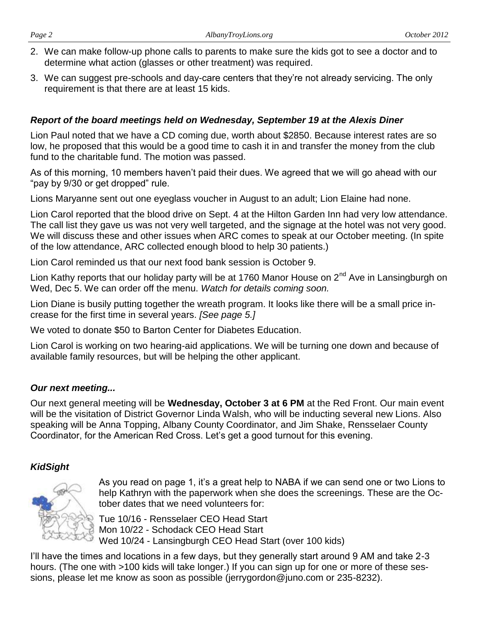- 2. We can make follow-up phone calls to parents to make sure the kids got to see a doctor and to determine what action (glasses or other treatment) was required.
- 3. We can suggest pre-schools and day-care centers that they're not already servicing. The only requirement is that there are at least 15 kids.

#### *Report of the board meetings held on Wednesday, September 19 at the Alexis Diner*

Lion Paul noted that we have a CD coming due, worth about \$2850. Because interest rates are so low, he proposed that this would be a good time to cash it in and transfer the money from the club fund to the charitable fund. The motion was passed.

As of this morning, 10 members haven't paid their dues. We agreed that we will go ahead with our "pay by 9/30 or get dropped" rule.

Lions Maryanne sent out one eyeglass voucher in August to an adult; Lion Elaine had none.

Lion Carol reported that the blood drive on Sept. 4 at the Hilton Garden Inn had very low attendance. The call list they gave us was not very well targeted, and the signage at the hotel was not very good. We will discuss these and other issues when ARC comes to speak at our October meeting. (In spite of the low attendance, ARC collected enough blood to help 30 patients.)

Lion Carol reminded us that our next food bank session is October 9.

Lion Kathy reports that our holiday party will be at 1760 Manor House on 2<sup>nd</sup> Ave in Lansingburgh on Wed, Dec 5. We can order off the menu. *Watch for details coming soon.*

Lion Diane is busily putting together the wreath program. It looks like there will be a small price increase for the first time in several years. *[See page 5.]*

We voted to donate \$50 to Barton Center for Diabetes Education.

Lion Carol is working on two hearing-aid applications. We will be turning one down and because of available family resources, but will be helping the other applicant.

#### *Our next meeting...*

Our next general meeting will be **Wednesday, October 3 at 6 PM** at the Red Front. Our main event will be the visitation of District Governor Linda Walsh, who will be inducting several new Lions. Also speaking will be Anna Topping, Albany County Coordinator, and Jim Shake, Rensselaer County Coordinator, for the American Red Cross. Let's get a good turnout for this evening.

#### *KidSight*



As you read on page 1, it's a great help to NABA if we can send one or two Lions to help Kathryn with the paperwork when she does the screenings. These are the October dates that we need volunteers for:

Tue 10/16 - Rensselaer CEO Head Start Mon 10/22 - Schodack CEO Head Start Wed 10/24 - Lansingburgh CEO Head Start (over 100 kids)

I'll have the times and locations in a few days, but they generally start around 9 AM and take 2-3 hours. (The one with >100 kids will take longer.) If you can sign up for one or more of these sessions, please let me know as soon as possible (jerrygordon@juno.com or 235-8232).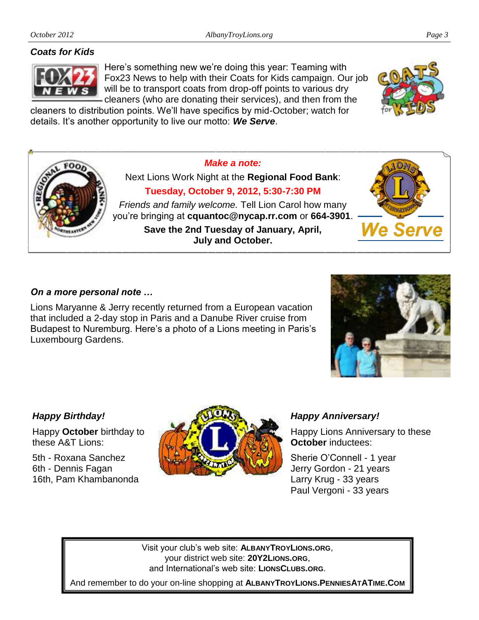#### *Coats for Kids*



Here's something new we're doing this year: Teaming with Fox23 News to help with their Coats for Kids campaign. Our job will be to transport coats from drop-off points to various dry cleaners (who are donating their services), and then from the

cleaners to distribution points. We'll have specifics by mid-October; watch for details. It's another opportunity to live our motto: *We Serve*.



### *On a more personal note …*

Lions Maryanne & Jerry recently returned from a European vacation that included a 2-day stop in Paris and a Danube River cruise from Budapest to Nuremburg. Here's a photo of a Lions meeting in Paris's Luxembourg Gardens.

*Happy Birthday!*

Happy **October** birthday to these A&T Lions:

5th - Roxana Sanchez 6th - Dennis Fagan 16th, Pam Khambanonda



#### *Happy Anniversary!*

Happy Lions Anniversary to these **October** inductees:

Sherie O'Connell - 1 year Jerry Gordon - 21 years Larry Krug - 33 years Paul Vergoni - 33 years

Visit your club's web site: **ALBANYTROYLIONS.ORG**, your district web site: **20Y2LIONS.ORG**, and International's web site: **LIONSCLUBS.ORG**.

And remember to do your on-line shopping at **ALBANYTROYLIONS.PENNIESATATIME.COM**



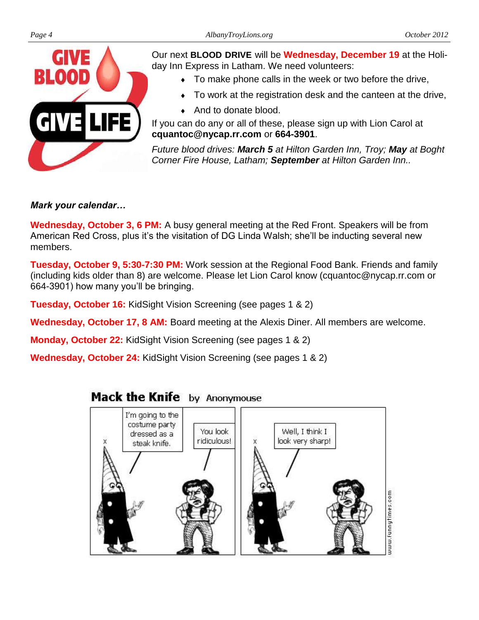

Our next **BLOOD DRIVE** will be **Wednesday, December 19** at the Holiday Inn Express in Latham. We need volunteers:

- To make phone calls in the week or two before the drive,
- To work at the registration desk and the canteen at the drive,
- ◆ And to donate blood.

If you can do any or all of these, please sign up with Lion Carol at **cquantoc@nycap.rr.com** or **664-3901**.

*Future blood drives: March 5 at Hilton Garden Inn, Troy; May at Boght Corner Fire House, Latham; September at Hilton Garden Inn..* 

#### *Mark your calendar…*

**Wednesday, October 3, 6 PM:** A busy general meeting at the Red Front. Speakers will be from American Red Cross, plus it's the visitation of DG Linda Walsh; she'll be inducting several new members.

**Tuesday, October 9, 5:30-7:30 PM:** Work session at the Regional Food Bank. Friends and family (including kids older than 8) are welcome. Please let Lion Carol know (cquantoc@nycap.rr.com or 664-3901) how many you'll be bringing.

**Tuesday, October 16:** KidSight Vision Screening (see pages 1 & 2)

**Wednesday, October 17, 8 AM:** Board meeting at the Alexis Diner. All members are welcome.

**Monday, October 22:** KidSight Vision Screening (see pages 1 & 2)

**Wednesday, October 24:** KidSight Vision Screening (see pages 1 & 2)

### Mack the Knife by Anonymouse

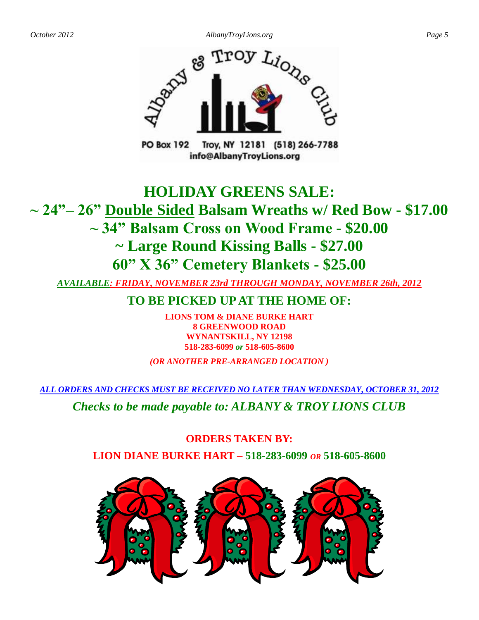

Troy, NY 12181 (518) 266-7788 **PO Box 192** info@AlbanyTroyLions.org

## **HOLIDAY GREENS SALE: ~ 24"– 26" Double Sided Balsam Wreaths w/ Red Bow - \$17.00 ~ 34" Balsam Cross on Wood Frame - \$20.00 ~ Large Round Kissing Balls - \$27.00 60" X 36" Cemetery Blankets - \$25.00**

*AVAILABLE: FRIDAY, NOVEMBER 23rd THROUGH MONDAY, NOVEMBER 26th, 2012*

**TO BE PICKED UP AT THE HOME OF:**

**LIONS TOM & DIANE BURKE HART 8 GREENWOOD ROAD WYNANTSKILL, NY 12198 518-283-6099** *or* **518-605-8600**

*(OR ANOTHER PRE-ARRANGED LOCATION )*

*ALL ORDERS AND CHECKS MUST BE RECEIVED NO LATER THAN WEDNESDAY, OCTOBER 31, 2012*

*Checks to be made payable to: ALBANY & TROY LIONS CLUB*

**ORDERS TAKEN BY: LION DIANE BURKE HART – 518-283-6099** *OR* **518-605-8600**